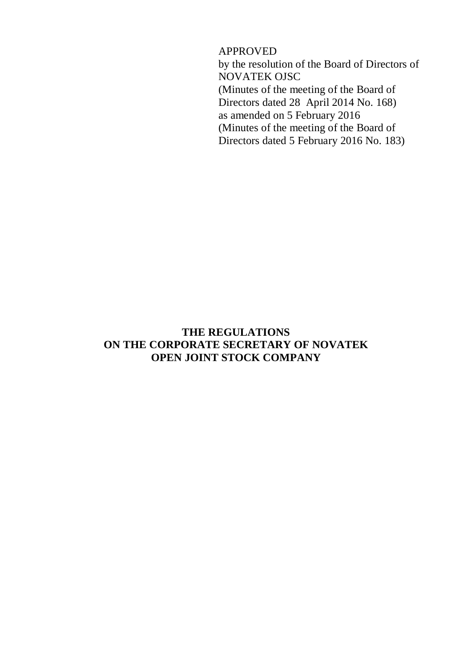APPROVED

by the resolution of the Board of Directors of NOVATEK OJSC (Minutes of the meeting of the Board of Directors dated 28 April 2014 No. 168) as amended on 5 February 2016 (Minutes of the meeting of the Board of Directors dated 5 February 2016 No. 183)

## **THE REGULATIONS ON THE CORPORATE SECRETARY OF NOVATEK OPEN JOINT STOCK COMPANY**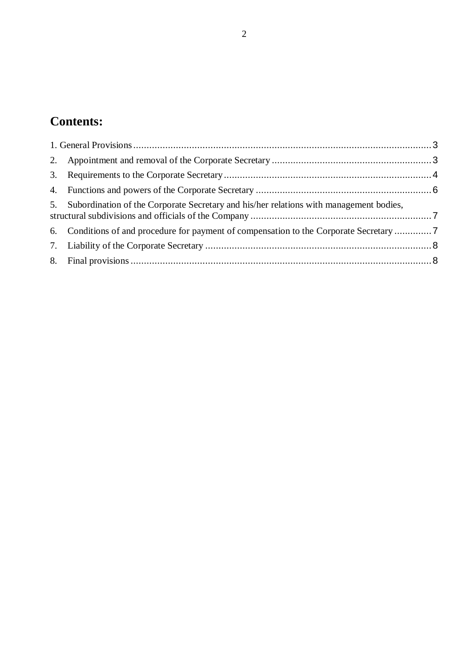# **Contents:**

| 5. Subordination of the Corporate Secretary and his/her relations with management bodies, |  |
|-------------------------------------------------------------------------------------------|--|
| 6. Conditions of and procedure for payment of compensation to the Corporate Secretary     |  |
|                                                                                           |  |
|                                                                                           |  |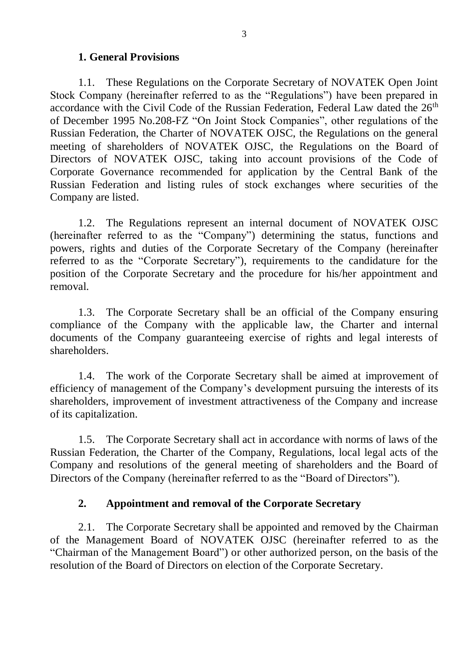#### **1. General Provisions**

<span id="page-2-0"></span>1.1. These Regulations on the Corporate Secretary of NOVATEK Open Joint Stock Company (hereinafter referred to as the "Regulations") have been prepared in accordance with the Civil Code of the Russian Federation, Federal Law dated the 26<sup>th</sup> of December 1995 No.208-FZ "On Joint Stock Companies", other regulations of the Russian Federation, the Charter of NOVATEK OJSC, the Regulations on the general meeting of shareholders of NOVATEK OJSC, the Regulations on the Board of Directors of NOVATEK OJSC, taking into account provisions of the Code of Corporate Governance recommended for application by the Central Bank of the Russian Federation and listing rules of stock exchanges where securities of the Company are listed.

1.2. The Regulations represent an internal document of NOVATEK OJSC (hereinafter referred to as the "Company") determining the status, functions and powers, rights and duties of the Corporate Secretary of the Company (hereinafter referred to as the "Corporate Secretary"), requirements to the candidature for the position of the Corporate Secretary and the procedure for his/her appointment and removal.

1.3. The Corporate Secretary shall be an official of the Company ensuring compliance of the Company with the applicable law, the Charter and internal documents of the Company guaranteeing exercise of rights and legal interests of shareholders.

1.4. The work of the Corporate Secretary shall be aimed at improvement of efficiency of management of the Company's development pursuing the interests of its shareholders, improvement of investment attractiveness of the Company and increase of its capitalization.

1.5. The Corporate Secretary shall act in accordance with norms of laws of the Russian Federation, the Charter of the Company, Regulations, local legal acts of the Company and resolutions of the general meeting of shareholders and the Board of Directors of the Company (hereinafter referred to as the "Board of Directors").

#### **2. Appointment and removal of the Corporate Secretary**

<span id="page-2-1"></span>2.1. The Corporate Secretary shall be appointed and removed by the Chairman of the Management Board of NOVATEK OJSC (hereinafter referred to as the "Chairman of the Management Board") or other authorized person, on the basis of the resolution of the Board of Directors on election of the Corporate Secretary.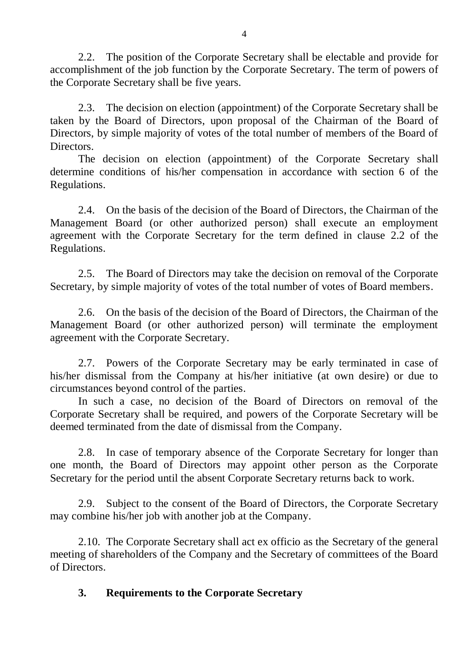<span id="page-3-1"></span>2.2. The position of the Corporate Secretary shall be electable and provide for accomplishment of the job function by the Corporate Secretary. The term of powers of the Corporate Secretary shall be five years.

2.3. The decision on election (appointment) of the Corporate Secretary shall be taken by the Board of Directors, upon proposal of the Chairman of the Board of Directors, by simple majority of votes of the total number of members of the Board of **Directors** 

The decision on election (appointment) of the Corporate Secretary shall determine conditions of his/her compensation in accordance with section 6 of the Regulations.

2.4. On the basis of the decision of the Board of Directors, the Chairman of the Management Board (or other authorized person) shall execute an employment agreement with the Corporate Secretary for the term defined in clause [2.2](#page-3-1) of the Regulations.

2.5. The Board of Directors may take the decision on removal of the Corporate Secretary, by simple majority of votes of the total number of votes of Board members.

2.6. On the basis of the decision of the Board of Directors, the Chairman of the Management Board (or other authorized person) will terminate the employment agreement with the Corporate Secretary.

2.7. Powers of the Corporate Secretary may be early terminated in case of his/her dismissal from the Company at his/her initiative (at own desire) or due to circumstances beyond control of the parties.

In such a case, no decision of the Board of Directors on removal of the Corporate Secretary shall be required, and powers of the Corporate Secretary will be deemed terminated from the date of dismissal from the Company.

2.8. In case of temporary absence of the Corporate Secretary for longer than one month, the Board of Directors may appoint other person as the Corporate Secretary for the period until the absent Corporate Secretary returns back to work.

2.9. Subject to the consent of the Board of Directors, the Corporate Secretary may combine his/her job with another job at the Company.

2.10. The Corporate Secretary shall act ex officio as the Secretary of the general meeting of shareholders of the Company and the Secretary of committees of the Board of Directors.

# <span id="page-3-0"></span>**3. Requirements to the Corporate Secretary**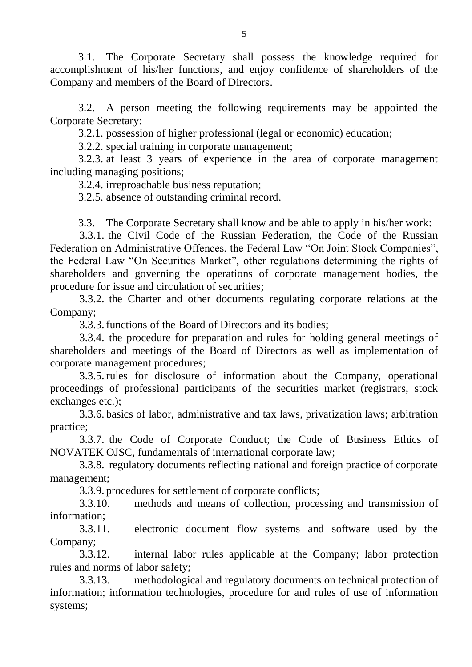3.1. The Corporate Secretary shall possess the knowledge required for accomplishment of his/her functions, and enjoy confidence of shareholders of the Company and members of the Board of Directors.

3.2. A person meeting the following requirements may be appointed the Corporate Secretary:

3.2.1. possession of higher professional (legal or economic) education;

3.2.2. special training in corporate management;

3.2.3. at least 3 years of experience in the area of corporate management including managing positions;

3.2.4. irreproachable business reputation;

3.2.5. absence of outstanding criminal record.

3.3. The Corporate Secretary shall know and be able to apply in his/her work:

3.3.1. the Civil Code of the Russian Federation, the Code of the Russian Federation on Administrative Offences, the Federal Law "On Joint Stock Companies", the Federal Law "On Securities Market", other regulations determining the rights of shareholders and governing the operations of corporate management bodies, the procedure for issue and circulation of securities;

3.3.2. the Charter and other documents regulating corporate relations at the Company;

3.3.3.functions of the Board of Directors and its bodies;

3.3.4. the procedure for preparation and rules for holding general meetings of shareholders and meetings of the Board of Directors as well as implementation of corporate management procedures;

3.3.5.rules for disclosure of information about the Company, operational proceedings of professional participants of the securities market (registrars, stock exchanges etc.);

3.3.6. basics of labor, administrative and tax laws, privatization laws; arbitration practice;

3.3.7. the Code of Corporate Conduct; the Code of Business Ethics of NOVATEK OJSC, fundamentals of international corporate law;

3.3.8. regulatory documents reflecting national and foreign practice of corporate management;

3.3.9. procedures for settlement of corporate conflicts;

3.3.10. methods and means of collection, processing and transmission of information;

3.3.11. electronic document flow systems and software used by the Company;

3.3.12. internal labor rules applicable at the Company; labor protection rules and norms of labor safety;

3.3.13. methodological and regulatory documents on technical protection of information; information technologies, procedure for and rules of use of information systems;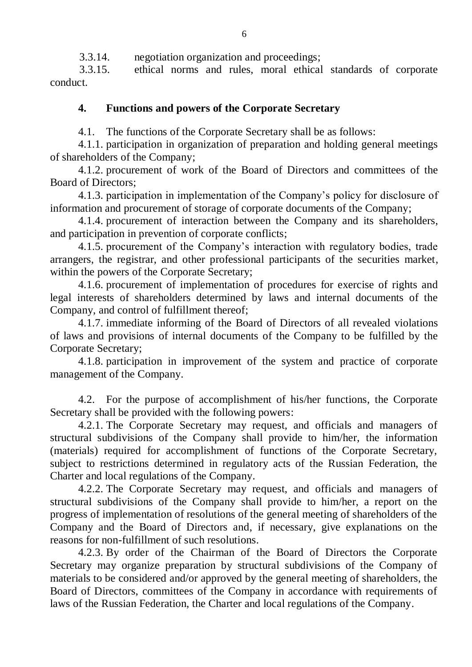3.3.14. negotiation organization and proceedings;

3.3.15. ethical norms and rules, moral ethical standards of corporate conduct.

# <span id="page-5-0"></span>**4. Functions and powers of the Corporate Secretary**

<span id="page-5-1"></span>4.1. The functions of the Corporate Secretary shall be as follows:

4.1.1. participation in organization of preparation and holding general meetings of shareholders of the Company;

4.1.2. procurement of work of the Board of Directors and committees of the Board of Directors;

4.1.3. participation in implementation of the Company's policy for disclosure of information and procurement of storage of corporate documents of the Company;

4.1.4. procurement of interaction between the Company and its shareholders, and participation in prevention of corporate conflicts;

4.1.5. procurement of the Company's interaction with regulatory bodies, trade arrangers, the registrar, and other professional participants of the securities market, within the powers of the Corporate Secretary;

4.1.6. procurement of implementation of procedures for exercise of rights and legal interests of shareholders determined by laws and internal documents of the Company, and control of fulfillment thereof;

4.1.7. immediate informing of the Board of Directors of all revealed violations of laws and provisions of internal documents of the Company to be fulfilled by the Corporate Secretary;

4.1.8. participation in improvement of the system and practice of corporate management of the Company.

4.2. For the purpose of accomplishment of his/her functions, the Corporate Secretary shall be provided with the following powers:

4.2.1. The Corporate Secretary may request, and officials and managers of structural subdivisions of the Company shall provide to him/her, the information (materials) required for accomplishment of functions of the Corporate Secretary, subject to restrictions determined in regulatory acts of the Russian Federation, the Charter and local regulations of the Company.

4.2.2. The Corporate Secretary may request, and officials and managers of structural subdivisions of the Company shall provide to him/her, a report on the progress of implementation of resolutions of the general meeting of shareholders of the Company and the Board of Directors and, if necessary, give explanations on the reasons for non-fulfillment of such resolutions.

4.2.3. By order of the Chairman of the Board of Directors the Corporate Secretary may organize preparation by structural subdivisions of the Company of materials to be considered and/or approved by the general meeting of shareholders, the Board of Directors, committees of the Company in accordance with requirements of laws of the Russian Federation, the Charter and local regulations of the Company.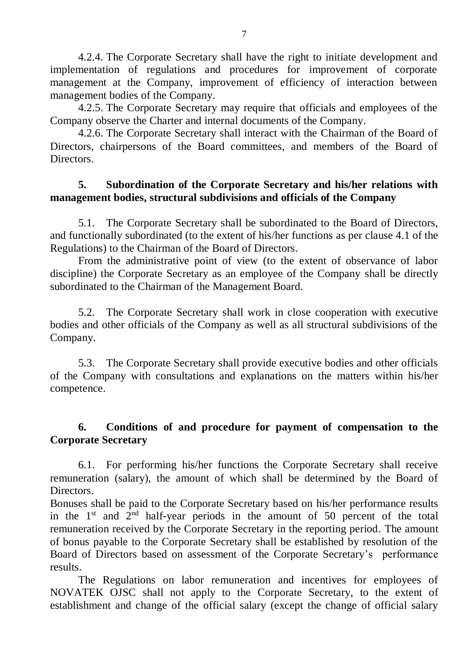4.2.4. The Corporate Secretary shall have the right to initiate development and implementation of regulations and procedures for improvement of corporate management at the Company, improvement of efficiency of interaction between management bodies of the Company.

4.2.5. The Corporate Secretary may require that officials and employees of the Company observe the Charter and internal documents of the Company.

4.2.6. The Corporate Secretary shall interact with the Chairman of the Board of Directors, chairpersons of the Board committees, and members of the Board of Directors.

## <span id="page-6-0"></span>**5. Subordination of the Corporate Secretary and his/her relations with management bodies, structural subdivisions and officials of the Company**

5.1. The Corporate Secretary shall be subordinated to the Board of Directors, and functionally subordinated (to the extent of his/her functions as per clause [4.1](#page-5-1) of the Regulations) to the Chairman of the Board of Directors.

From the administrative point of view (to the extent of observance of labor discipline) the Corporate Secretary as an employee of the Company shall be directly subordinated to the Chairman of the Management Board.

5.2. The Corporate Secretary shall work in close cooperation with executive bodies and other officials of the Company as well as all structural subdivisions of the Company.

5.3. The Corporate Secretary shall provide executive bodies and other officials of the Company with consultations and explanations on the matters within his/her competence.

# <span id="page-6-1"></span>**6. Conditions of and procedure for payment of compensation to the Corporate Secretary**

6.1. For performing his/her functions the Corporate Secretary shall receive remuneration (salary), the amount of which shall be determined by the Board of **Directors** 

Bonuses shall be paid to the Corporate Secretary based on his/her performance results in the  $1<sup>st</sup>$  and  $2<sup>nd</sup>$  half-year periods in the amount of 50 percent of the total remuneration received by the Corporate Secretary in the reporting period. The amount of bonus payable to the Corporate Secretary shall be established by resolution of the Board of Directors based on assessment of the Corporate Secretary's performance results.

The Regulations on labor remuneration and incentives for employees of NOVATEK OJSC shall not apply to the Corporate Secretary, to the extent of establishment and change of the official salary (except the change of official salary